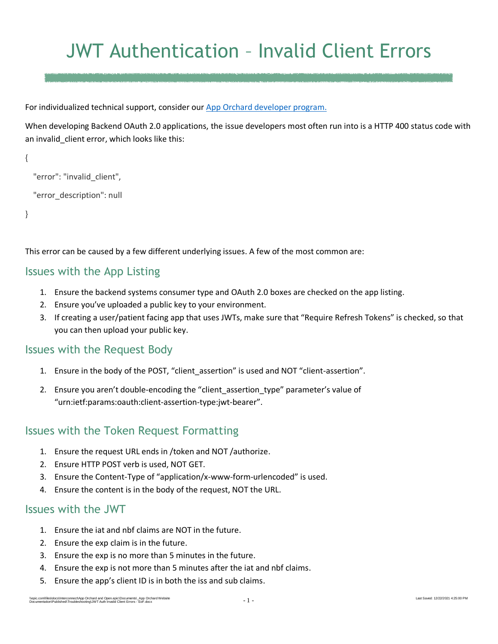# JWT Authentication – Invalid Client Errors

For individualized technical support, consider our [App Orchard developer program.](https://apporchard.epic.com/)

When developing Backend OAuth 2.0 applications, the issue developers most often run into is a HTTP 400 status code with an invalid client error, which looks like this:

```
{
   "error": "invalid_client",
   "error_description": null
}
```
This error can be caused by a few different underlying issues. A few of the most common are:

#### Issues with the App Listing

- 1. Ensure the backend systems consumer type and OAuth 2.0 boxes are checked on the app listing.
- 2. Ensure you've uploaded a public key to your environment.
- 3. If creating a user/patient facing app that uses JWTs, make sure that "Require Refresh Tokens" is checked, so that you can then upload your public key.

# Issues with the Request Body

- 1. Ensure in the body of the POST, "client\_assertion" is used and NOT "client-assertion".
- 2. Ensure you aren't double-encoding the "client assertion type" parameter's value of "urn:ietf:params:oauth:client-assertion-type:jwt-bearer".

# Issues with the Token Request Formatting

- 1. Ensure the request URL ends in /token and NOT /authorize.
- 2. Ensure HTTP POST verb is used, NOT GET.
- 3. Ensure the Content-Type of "application/x-www-form-urlencoded" is used.
- 4. Ensure the content is in the body of the request, NOT the URL.

#### Issues with the JWT

- 1. Ensure the iat and nbf claims are NOT in the future.
- 2. Ensure the exp claim is in the future.
- 3. Ensure the exp is no more than 5 minutes in the future.
- 4. Ensure the exp is not more than 5 minutes after the iat and nbf claims.
- 5. Ensure the app's client ID is in both the iss and sub claims.